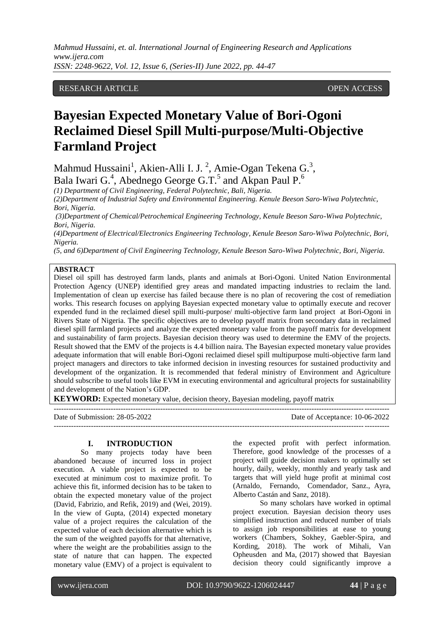*Mahmud Hussaini, et. al. International Journal of Engineering Research and Applications www.ijera.com ISSN: 2248-9622, Vol. 12, Issue 6, (Series-II) June 2022, pp. 44-47*

## RESEARCH ARTICLE **CONSERVERS** OPEN ACCESS

# **Bayesian Expected Monetary Value of Bori-Ogoni Reclaimed Diesel Spill Multi-purpose/Multi-Objective Farmland Project**

Mahmud Hussaini<sup>1</sup>, Akien-Alli I. J.<sup>2</sup>, Amie-Ogan Tekena G.<sup>3</sup>, Bala Iwari G.<sup>4</sup>, Abednego George G.T.<sup>5</sup> and Akpan Paul P.<sup>6</sup>

*(1) Department of Civil Engineering, Federal Polytechnic, Bali, Nigeria.*

*(2)Department of Industrial Safety and Environmental Engineering. Kenule Beeson Saro-Wiwa Polytechnic, Bori, Nigeria.*

*(3)Department of Chemical/Petrochemical Engineering Technology, Kenule Beeson Saro-Wiwa Polytechnic, Bori, Nigeria.*

*(4)Department of Electrical/Electronics Engineering Technology, Kenule Beeson Saro-Wiwa Polytechnic, Bori, Nigeria.*

*(5, and 6)Department of Civil Engineering Technology, Kenule Beeson Saro-Wiwa Polytechnic, Bori, Nigeria.*

#### **ABSTRACT**

Diesel oil spill has destroyed farm lands, plants and animals at Bori-Ogoni. United Nation Environmental Protection Agency (UNEP) identified grey areas and mandated impacting industries to reclaim the land. Implementation of clean up exercise has failed because there is no plan of recovering the cost of remediation works. This research focuses on applying Bayesian expected monetary value to optimally execute and recover expended fund in the reclaimed diesel spill multi-purpose/ multi-objective farm land project at Bori-Ogoni in Rivers State of Nigeria. The specific objectives are to develop payoff matrix from secondary data in reclaimed diesel spill farmland projects and analyze the expected monetary value from the payoff matrix for development and sustainability of farm projects. Bayesian decision theory was used to determine the EMV of the projects. Result showed that the EMV of the projects is 4.4 billion naira. The Bayesian expected monetary value provides adequate information that will enable Bori-Ogoni reclaimed diesel spill multipurpose multi-objective farm land project managers and directors to take informed decision in investing resources for sustained productivity and development of the organization. It is recommended that federal ministry of Environment and Agriculture should subscribe to useful tools like EVM in executing environmental and agricultural projects for sustainability and development of the Nation's GDP.

**KEYWORD:** Expected monetary value, decision theory, Bayesian modeling, payoff matrix

| Date of Submission: 28-05-2022 | Date of Acceptance: 10-06-2022 |
|--------------------------------|--------------------------------|
|                                |                                |

#### **I. INTRODUCTION**

So many projects today have been abandoned because of incurred loss in project execution. A viable project is expected to be executed at minimum cost to maximize profit. To achieve this fit, informed decision has to be taken to obtain the expected monetary value of the project (David, Fabrizio, and Refik, 2019) and (Wei, 2019). In the view of Gupta, (2014) expected monetary value of a project requires the calculation of the expected value of each decision alternative which is the sum of the weighted payoffs for that alternative, where the weight are the probabilities assign to the state of nature that can happen. The expected monetary value (EMV) of a project is equivalent to

the expected profit with perfect information. Therefore, good knowledge of the processes of a project will guide decision makers to optimally set hourly, daily, weekly, monthly and yearly task and targets that will yield huge profit at minimal cost (Arnaldo, Fernando, Comendador, Sanz., Ayra, Alberto Castán and Sanz, 2018).

So many scholars have worked in optimal project execution. Bayesian decision theory uses simplified instruction and reduced number of trials to assign job responsibilities at ease to young workers (Chambers, Sokhey, Gaebler-Spira, and Kording, 2018). The work of Mihali, Van Opheusden and Ma, (2017) showed that Bayesian decision theory could significantly improve a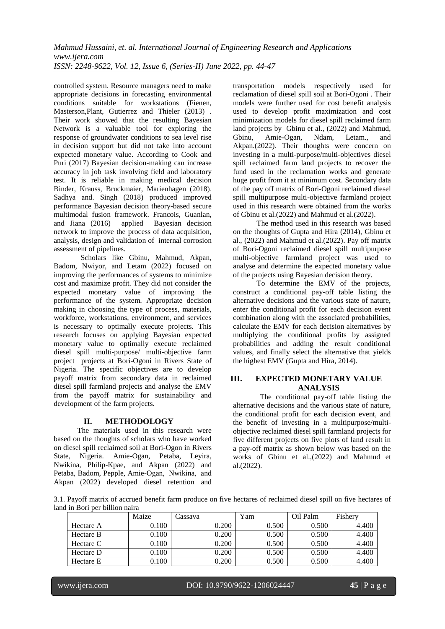controlled system. Resource managers need to make appropriate decisions in forecasting environmental conditions suitable for workstations (Fienen, Masterson,Plant, Gutierrez and Thieler (2013) . Their work showed that the resulting Bayesian Network is a valuable tool for exploring the response of groundwater conditions to sea level rise in decision support but did not take into account expected monetary value. According to Cook and Puri (2017) Bayesian decision-making can increase accuracy in job task involving field and laboratory test. It is reliable in making medical decision Binder, Krauss, Bruckmaier, Marienhagen (2018). Sadhya and. Singh (2018) produced improved performance Bayesian decision theory-based secure multimodal fusion framework. Francois, Guanlan, and Jiana (2016) applied Bayesian decision and Jiana (2016) applied Bayesian decision network to improve the process of data acquisition, analysis, design and validation of internal corrosion assessment of pipelines.

Scholars like Gbinu, Mahmud, Akpan, Badom, Nwiyor, and Letam (2022) focused on improving the performances of systems to minimize cost and maximize profit. They did not consider the expected monetary value of improving the performance of the system. Appropriate decision making in choosing the type of process, materials, workforce, workstations, environment, and services is necessary to optimally execute projects. This research focuses on applying Bayesian expected monetary value to optimally execute reclaimed diesel spill multi-purpose/ multi-objective farm project projects at Bori-Ogoni in Rivers State of Nigeria. The specific objectives are to develop payoff matrix from secondary data in reclaimed diesel spill farmland projects and analyse the EMV from the payoff matrix for sustainability and development of the farm projects.

# **II. METHODOLOGY**

The materials used in this research were based on the thoughts of scholars who have worked on diesel spill reclaimed soil at Bori-Ogon in Rivers State, Nigeria. Amie-Ogan, Petaba, Leyira, Nwikina, Philip-Kpae, and Akpan (2022) and Petaba, Badom, Pepple, Amie-Ogan, Nwikina, and Akpan (2022) developed diesel retention and transportation models respectively used for reclamation of diesel spill soil at Bori-Ogoni . Their models were further used for cost benefit analysis used to develop profit maximization and cost minimization models for diesel spill reclaimed farm land projects by Gbinu et al., (2022) and Mahmud, Amie-Ogan, Ndam, Letam., and Akpan.(2022). Their thoughts were concern on investing in a multi-purpose/multi-objectives diesel spill reclaimed farm land projects to recover the fund used in the reclamation works and generate huge profit from it at minimum cost. Secondary data of the pay off matrix of Bori-Ogoni reclaimed diesel spill multipurpose multi-objective farmland project used in this research were obtained from the works of Gbinu et al.(2022) and Mahmud et al.(2022).

The method used in this research was based on the thoughts of Gupta and Hira (2014), Gbinu et al., (2022) and Mahmud et al.(2022). Pay off matrix of Bori-Ogoni reclaimed diesel spill multipurpose multi-objective farmland project was used to analyse and determine the expected monetary value of the projects using Bayesian decision theory.

To determine the EMV of the projects, construct a conditional pay-off table listing the alternative decisions and the various state of nature, enter the conditional profit for each decision event combination along with the associated probabilities, calculate the EMV for each decision alternatives by multiplying the conditional profits by assigned probabilities and adding the result conditional values, and finally select the alternative that yields the highest EMV (Gupta and Hira, 2014).

## **III. EXPECTED MONETARY VALUE ANALYSIS**

The conditional pay-off table listing the alternative decisions and the various state of nature, the conditional profit for each decision event, and the benefit of investing in a multipurpose/multiobjective reclaimed diesel spill farmland projects for five different projects on five plots of land result in a pay-off matrix as shown below was based on the works of Gbinu et al.,(2022) and Mahmud et al.(2022).

3.1. Payoff matrix of accrued benefit farm produce on five hectares of reclaimed diesel spill on five hectares of land in Bori per billion naira

|           | Maize | ∠assava | Yam   | Oil Palm | Fishery |
|-----------|-------|---------|-------|----------|---------|
| Hectare A | 0.100 | 0.200   | 0.500 | 0.500    | 4.400   |
| Hectare B | 0.100 | 0.200   | 0.500 | 0.500    | 4.400   |
| Hectare C | 0.100 | 0.200   | 0.500 | 0.500    | 4.400   |
| Hectare D | 0.100 | 0.200   | 0.500 | 0.500    | 4.400   |
| Hectare E | 0.100 | 0.200   | 0.500 | 0.500    | 4.400   |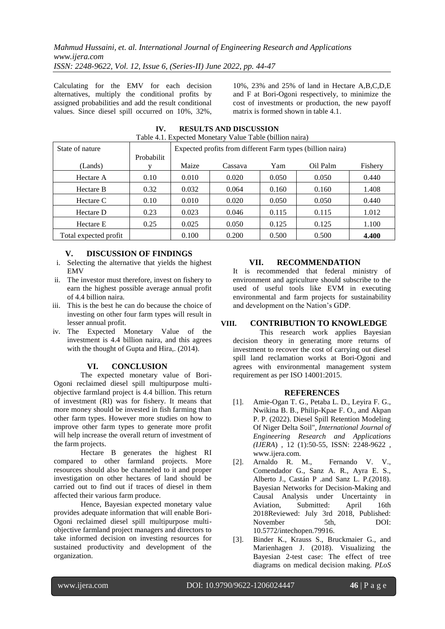Calculating for the EMV for each decision alternatives, multiply the conditional profits by assigned probabilities and add the result conditional values. Since diesel spill occurred on 10%, 32%,

10%, 23% and 25% of land in Hectare A,B,C,D,E and F at Bori-Ogoni respectively, to minimize the cost of investments or production, the new payoff matrix is formed shown in table 4.1.

| Table 4.1. Expected Monetary Value Table (billion naira) |            |                                                            |         |       |          |         |  |
|----------------------------------------------------------|------------|------------------------------------------------------------|---------|-------|----------|---------|--|
| State of nature                                          |            | Expected profits from different Farm types (billion naira) |         |       |          |         |  |
|                                                          | Probabilit |                                                            |         |       |          |         |  |
| (Lands)                                                  |            | Maize                                                      | Cassava | Yam   | Oil Palm | Fishery |  |
| Hectare A                                                | 0.10       | 0.010                                                      | 0.020   | 0.050 | 0.050    | 0.440   |  |
| Hectare B                                                | 0.32       | 0.032                                                      | 0.064   | 0.160 | 0.160    | 1.408   |  |
| Hectare C                                                | 0.10       | 0.010                                                      | 0.020   | 0.050 | 0.050    | 0.440   |  |
| Hectare D                                                | 0.23       | 0.023                                                      | 0.046   | 0.115 | 0.115    | 1.012   |  |
| Hectare E                                                | 0.25       | 0.025                                                      | 0.050   | 0.125 | 0.125    | 1.100   |  |
| Total expected profit                                    |            | 0.100                                                      | 0.200   | 0.500 | 0.500    | 4.400   |  |

**IV. RESULTS AND DISCUSSION** Table 4.1. Expected Monetary Value Table (billion naira)

# **V. DISCUSSION OF FINDINGS**

- i. Selecting the alternative that yields the highest **EMV**
- ii. The investor must therefore, invest on fishery to earn the highest possible average annual profit of 4.4 billion naira.
- iii. This is the best he can do because the choice of investing on other four farm types will result in lesser annual profit.
- iv. The Expected Monetary Value of the investment is 4.4 billion naira, and this agrees with the thought of Gupta and Hira,. (2014).

# **VI. CONCLUSION**

The expected monetary value of Bori-Ogoni reclaimed diesel spill multipurpose multiobjective farmland project is 4.4 billion. This return of investment (RI) was for fishery. It means that more money should be invested in fish farming than other farm types. However more studies on how to improve other farm types to generate more profit will help increase the overall return of investment of the farm projects.

Hectare B generates the highest RI compared to other farmland projects. More resources should also be channeled to it and proper investigation on other hectares of land should be carried out to find out if traces of diesel in them affected their various farm produce.

Hence, Bayesian expected monetary value provides adequate information that will enable Bori-Ogoni reclaimed diesel spill multipurpose multiobjective farmland project managers and directors to take informed decision on investing resources for sustained productivity and development of the organization.

## **VII. RECOMMENDATION**

It is recommended that federal ministry of environment and agriculture should subscribe to the used of useful tools like EVM in executing environmental and farm projects for sustainability and development on the Nation's GDP.

# **VIII. CONTRIBUTION TO KNOWLEDGE**

This research work applies Bayesian decision theory in generating more returns of investment to recover the cost of carrying out diesel spill land reclamation works at Bori-Ogoni and agrees with environmental management system requirement as per ISO 14001:2015.

#### **REFERENCES**

- [1]. Amie-Ogan T. G., Petaba L. D., Leyira F. G., Nwikina B. B., Philip-Kpae F. O., and Akpan P. P. (2022). Diesel Spill Retention Modeling Of Niger Delta Soil", *International Journal of Engineering Research and Applications (IJERA*) , 12 (1):50-55, ISSN: 2248-9622 , www.ijera.com.<br>Arnaldo R. M.,
- [2]. Arnaldo R. M., Fernando V. V., Comendador G., Sanz A. R., Ayra E. S., Alberto J., Castán P .and Sanz L. P.(2018). Bayesian Networks for Decision-Making and Causal Analysis under Uncertainty in Aviation, Submitted: April 16th 2018Reviewed: July 3rd 2018, Published: November 5th, DOI: 10.5772/intechopen.79916.
- [3]. Binder K., Krauss S., Bruckmaier G., and Marienhagen J. (2018). Visualizing the Bayesian 2-test case: The effect of tree diagrams on medical decision making. *PLoS*